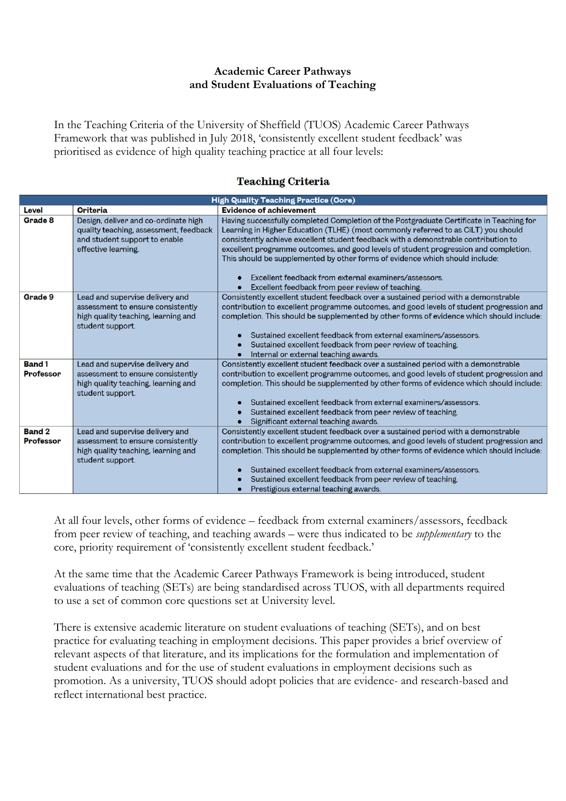## **Academic Career Pathways and Student Evaluations of Teaching**

In the Teaching Criteria of the University of Sheffield (TUOS) Academic Career Pathways Framework that was published in July 2018, 'consistently excellent student feedback' was prioritised as evidence of high quality teaching practice at all four levels:

# **Teaching Criteria**

| <b>High Quality Teaching Practice (Core)</b> |                                                                                                                                        |                                                                                                                                                                                                                                                                                                                                                                                                                                                                                                                                                            |
|----------------------------------------------|----------------------------------------------------------------------------------------------------------------------------------------|------------------------------------------------------------------------------------------------------------------------------------------------------------------------------------------------------------------------------------------------------------------------------------------------------------------------------------------------------------------------------------------------------------------------------------------------------------------------------------------------------------------------------------------------------------|
| Level                                        | <b>Criteria</b>                                                                                                                        | <b>Evidence of achievement</b>                                                                                                                                                                                                                                                                                                                                                                                                                                                                                                                             |
| Grade 8                                      | Design, deliver and co-ordinate high<br>quality teaching, assessment, feedback<br>and student support to enable<br>effective learning. | Having successfully completed Completion of the Postgraduate Certificate in Teaching for<br>Learning in Higher Education (TLHE) (most commonly referred to as CiLT) you should<br>consistently achieve excellent student feedback with a demonstrable contribution to<br>excellent programme outcomes, and good levels of student progression and completion.<br>This should be supplemented by other forms of evidence which should include:<br>Excellent feedback from external examiners/assessors.<br>Excellent feedback from peer review of teaching. |
| Grade 9                                      | Lead and supervise delivery and<br>assessment to ensure consistently<br>high quality teaching, learning and<br>student support.        | Consistently excellent student feedback over a sustained period with a demonstrable<br>contribution to excellent programme outcomes, and good levels of student progression and<br>completion. This should be supplemented by other forms of evidence which should include:<br>Sustained excellent feedback from external examiners/assessors.<br>Sustained excellent feedback from peer review of teaching.<br>Internal or external teaching awards.                                                                                                      |
| <b>Band 1</b><br><b>Professor</b>            | Lead and supervise delivery and<br>assessment to ensure consistently<br>high quality teaching, learning and<br>student support.        | Consistently excellent student feedback over a sustained period with a demonstrable<br>contribution to excellent programme outcomes, and good levels of student progression and<br>completion. This should be supplemented by other forms of evidence which should include:<br>Sustained excellent feedback from external examiners/assessors.<br>Sustained excellent feedback from peer review of teaching.<br>Significant external teaching awards.                                                                                                      |
| <b>Band 2</b><br><b>Professor</b>            | Lead and supervise delivery and<br>assessment to ensure consistently<br>high quality teaching, learning and<br>student support.        | Consistently excellent student feedback over a sustained period with a demonstrable<br>contribution to excellent programme outcomes, and good levels of student progression and<br>completion. This should be supplemented by other forms of evidence which should include:<br>Sustained excellent feedback from external examiners/assessors.<br>Sustained excellent feedback from peer review of teaching.<br>Prestigious external teaching awards.                                                                                                      |

At all four levels, other forms of evidence – feedback from external examiners/assessors, feedback from peer review of teaching, and teaching awards – were thus indicated to be *supplementary* to the core, priority requirement of 'consistently excellent student feedback.'

At the same time that the Academic Career Pathways Framework is being introduced, student evaluations of teaching (SETs) are being standardised across TUOS, with all departments required to use a set of common core questions set at University level.

There is extensive academic literature on student evaluations of teaching (SETs), and on best practice for evaluating teaching in employment decisions. This paper provides a brief overview of relevant aspects of that literature, and its implications for the formulation and implementation of student evaluations and for the use of student evaluations in employment decisions such as promotion. As a university, TUOS should adopt policies that are evidence- and research-based and reflect international best practice.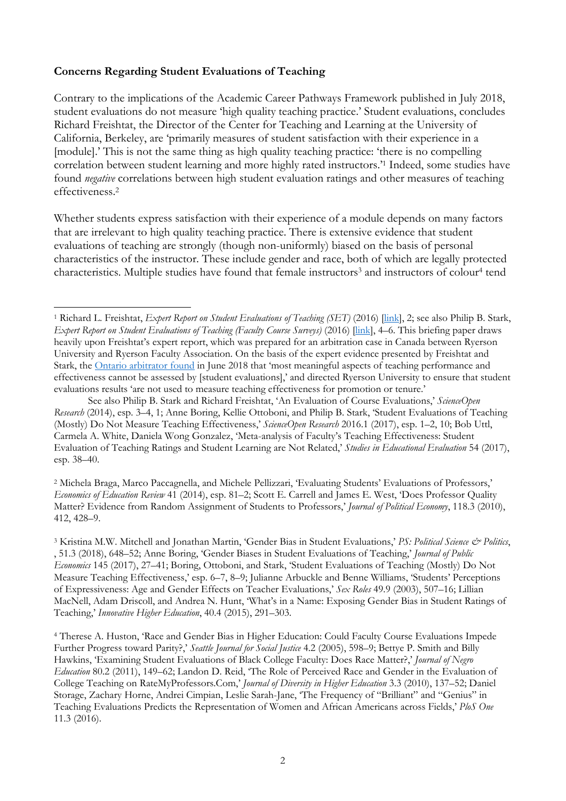### **Concerns Regarding Student Evaluations of Teaching**

 $\overline{a}$ 

Contrary to the implications of the Academic Career Pathways Framework published in July 2018, student evaluations do not measure 'high quality teaching practice.' Student evaluations, concludes Richard Freishtat, the Director of the Center for Teaching and Learning at the University of California, Berkeley, are 'primarily measures of student satisfaction with their experience in a [module].' This is not the same thing as high quality teaching practice: 'there is no compelling correlation between student learning and more highly rated instructors.'1 Indeed, some studies have found *negative* correlations between high student evaluation ratings and other measures of teaching effectiveness.2

Whether students express satisfaction with their experience of a module depends on many factors that are irrelevant to high quality teaching practice. There is extensive evidence that student evaluations of teaching are strongly (though non-uniformly) biased on the basis of personal characteristics of the instructor. These include gender and race, both of which are legally protected characteristics. Multiple studies have found that female instructors<sup>3</sup> and instructors of colour<sup>4</sup> tend

See also Philip B. Stark and Richard Freishtat, 'An Evaluation of Course Evaluations,' *ScienceOpen Research* (2014), esp. 3–4, 1; Anne Boring, Kellie Ottoboni, and Philip B. Stark, 'Student Evaluations of Teaching (Mostly) Do Not Measure Teaching Effectiveness,' *ScienceOpen Research* 2016.1 (2017), esp. 1–2, 10; Bob Uttl, Carmela A. White, Daniela Wong Gonzalez, 'Meta-analysis of Faculty's Teaching Effectiveness: Student Evaluation of Teaching Ratings and Student Learning are Not Related,' *Studies in Educational Evaluation* 54 (2017), esp. 38–40.

2 Michela Braga, Marco Paccagnella, and Michele Pellizzari, 'Evaluating Students' Evaluations of Professors,' *Economics of Education Review* 41 (2014), esp. 81–2; Scott E. Carrell and James E. West, 'Does Professor Quality Matter? Evidence from Random Assignment of Students to Professors,' *Journal of Political Economy*, 118.3 (2010), 412, 428–9.

3 Kristina M.W. Mitchell and Jonathan Martin, 'Gender Bias in Student Evaluations,' *PS: Political Science & Politics*, , 51.3 (2018), 648–52; Anne Boring, 'Gender Biases in Student Evaluations of Teaching,' *Journal of Public Economics* 145 (2017), 27–41; Boring, Ottoboni, and Stark, 'Student Evaluations of Teaching (Mostly) Do Not Measure Teaching Effectiveness,' esp. 6–7, 8–9; Julianne Arbuckle and Benne Williams, 'Students' Perceptions of Expressiveness: Age and Gender Effects on Teacher Evaluations,' *Sex Roles* 49.9 (2003), 507–16; Lillian MacNell, Adam Driscoll, and Andrea N. Hunt, 'What's in a Name: Exposing Gender Bias in Student Ratings of Teaching,' *Innovative Higher Education*, 40.4 (2015), 291–303.

4 Therese A. Huston, 'Race and Gender Bias in Higher Education: Could Faculty Course Evaluations Impede Further Progress toward Parity?,' *Seattle Journal for Social Justice* 4.2 (2005), 598–9; Bettye P. Smith and Billy Hawkins, 'Examining Student Evaluations of Black College Faculty: Does Race Matter?,' *Journal of Negro Education* 80.2 (2011), 149–62; Landon D. Reid, 'The Role of Perceived Race and Gender in the Evaluation of College Teaching on RateMyProfessors.Com,' *Journal of Diversity in Higher Education* 3.3 (2010), 137–52; Daniel Storage, Zachary Horne, Andrei Cimpian, Leslie Sarah-Jane, 'The Frequency of "Brilliant" and "Genius" in Teaching Evaluations Predicts the Representation of Women and African Americans across Fields,' *PloS One*  11.3 (2016).

<sup>&</sup>lt;sup>1</sup> Richard L. Freishtat, *Expert Report on Student Evaluations of Teaching (SET)* (2016) [*link]*, 2; see also Philip B. Stark, *Expert Report on Student Evaluations of Teaching (Faculty Course Surveys)* (2016) [\[link\],](https://ocufa.on.ca/assets/RFA.v.Ryerson_Stark.Expert.Report.2016.pdf?utm_source=OCUFA+Report&utm_campaign=7bb120ce70-EMAIL_CAMPAIGN_2018_07_12_01_15&utm_medium=email&utm_term=0_458512323c-7bb120ce70-&mc_cid=7bb120ce70&mc_eid=%5BUNIQID%5D) 4–6. This briefing paper draws heavily upon Freishtat's expert report, which was prepared for an arbitration case in Canada between Ryerson University and Ryerson Faculty Association. On the basis of the expert evidence presented by Freishtat and Stark, the [Ontario arbitrator found](https://www.canlii.org/en/on/onla/doc/2018/2018canlii58446/2018canlii58446.html) in June 2018 that 'most meaningful aspects of teaching performance and effectiveness cannot be assessed by [student evaluations],' and directed Ryerson University to ensure that student evaluations results 'are not used to measure teaching effectiveness for promotion or tenure.'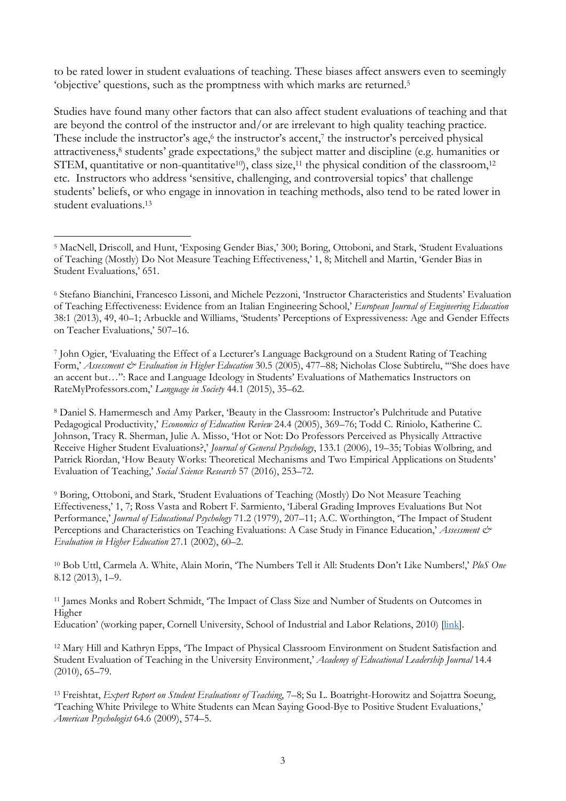to be rated lower in student evaluations of teaching. These biases affect answers even to seemingly 'objective' questions, such as the promptness with which marks are returned.5

Studies have found many other factors that can also affect student evaluations of teaching and that are beyond the control of the instructor and/or are irrelevant to high quality teaching practice. These include the instructor's age, $6$  the instructor's accent, $7$  the instructor's perceived physical attractiveness,<sup>8</sup> students' grade expectations,<sup>9</sup> the subject matter and discipline (e.g. humanities or STEM, quantitative or non-quantitative<sup>10</sup>), class size,<sup>11</sup> the physical condition of the classroom,<sup>12</sup> etc. Instructors who address 'sensitive, challenging, and controversial topics' that challenge students' beliefs, or who engage in innovation in teaching methods, also tend to be rated lower in student evaluations.13

8 Daniel S. Hamermesch and Amy Parker, 'Beauty in the Classroom: Instructor's Pulchritude and Putative Pedagogical Productivity,' *Economics of Education Review* 24.4 (2005), 369–76; Todd C. Riniolo, Katherine C. Johnson, Tracy R. Sherman, Julie A. Misso, 'Hot or Not: Do Professors Perceived as Physically Attractive Receive Higher Student Evaluations?,' *Journal of General Psychology*, 133.1 (2006), 19–35; Tobias Wolbring, and Patrick Riordan, 'How Beauty Works: Theoretical Mechanisms and Two Empirical Applications on Students' Evaluation of Teaching,' *Social Science Research* 57 (2016), 253–72.

9 Boring, Ottoboni, and Stark, 'Student Evaluations of Teaching (Mostly) Do Not Measure Teaching Effectiveness,' 1, 7; Ross Vasta and Robert F. Sarmiento, 'Liberal Grading Improves Evaluations But Not Performance,' *Journal of Educational Psychology* 71.2 (1979), 207–11; A.C. Worthington, 'The Impact of Student Perceptions and Characteristics on Teaching Evaluations: A Case Study in Finance Education,' *Assessment & Evaluation in Higher Education* 27.1 (2002), 60–2.

10 Bob Uttl, Carmela A. White, Alain Morin, 'The Numbers Tell it All: Students Don't Like Numbers!,' *PloS One* 8.12 (2013), 1–9.

11 James Monks and Robert Schmidt, 'The Impact of Class Size and Number of Students on Outcomes in Higher

Education' (working paper, Cornell University, School of Industrial and Labor Relations, 2010) [\[link\]](http://digitalcommons.ilr.cornell.edu/workingpapers/114/).

12 Mary Hill and Kathryn Epps, 'The Impact of Physical Classroom Environment on Student Satisfaction and Student Evaluation of Teaching in the University Environment,' *Academy of Educational Leadership Journal* 14.4 (2010), 65–79.

13 Freishtat, *Expert Report on Student Evaluations of Teaching*, 7–8; Su L. Boatright-Horowitz and Sojattra Soeung, 'Teaching White Privilege to White Students can Mean Saying Good-Bye to Positive Student Evaluations,' *American Psychologist* 64.6 (2009), 574–5.

<sup>5</sup> MacNell, Driscoll, and Hunt, 'Exposing Gender Bias,' 300; Boring, Ottoboni, and Stark, 'Student Evaluations of Teaching (Mostly) Do Not Measure Teaching Effectiveness,' 1, 8; Mitchell and Martin, 'Gender Bias in Student Evaluations,' 651.

<sup>6</sup> Stefano Bianchini, Francesco Lissoni, and Michele Pezzoni, 'Instructor Characteristics and Students' Evaluation of Teaching Effectiveness: Evidence from an Italian Engineering School,' *European Journal of Engineering Education* 38:1 (2013), 49, 40–1; Arbuckle and Williams, 'Students' Perceptions of Expressiveness: Age and Gender Effects on Teacher Evaluations,' 507–16.

<sup>7</sup> John Ogier, 'Evaluating the Effect of a Lecturer's Language Background on a Student Rating of Teaching Form,' *Assessment & Evaluation in Higher Education* 30.5 (2005), 477–88; Nicholas Close Subtirelu, "'She does have an accent but…": Race and Language Ideology in Students' Evaluations of Mathematics Instructors on RateMyProfessors.com,' *Language in Society* 44.1 (2015), 35–62.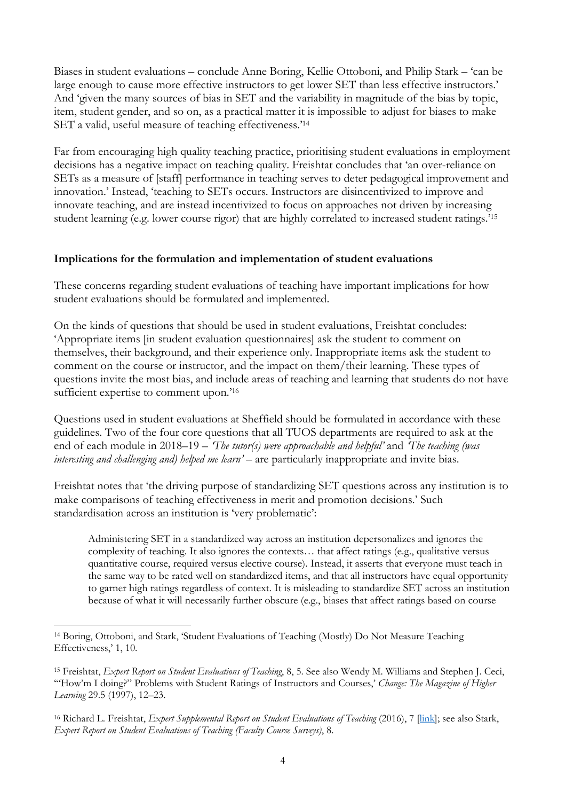Biases in student evaluations – conclude Anne Boring, Kellie Ottoboni, and Philip Stark – 'can be large enough to cause more effective instructors to get lower SET than less effective instructors.' And 'given the many sources of bias in SET and the variability in magnitude of the bias by topic, item, student gender, and so on, as a practical matter it is impossible to adjust for biases to make SET a valid, useful measure of teaching effectiveness.'14

Far from encouraging high quality teaching practice, prioritising student evaluations in employment decisions has a negative impact on teaching quality. Freishtat concludes that 'an over-reliance on SETs as a measure of [staff] performance in teaching serves to deter pedagogical improvement and innovation.' Instead, 'teaching to SETs occurs. Instructors are disincentivized to improve and innovate teaching, and are instead incentivized to focus on approaches not driven by increasing student learning (e.g. lower course rigor) that are highly correlated to increased student ratings.'15

## **Implications for the formulation and implementation of student evaluations**

These concerns regarding student evaluations of teaching have important implications for how student evaluations should be formulated and implemented.

On the kinds of questions that should be used in student evaluations, Freishtat concludes: 'Appropriate items [in student evaluation questionnaires] ask the student to comment on themselves, their background, and their experience only. Inappropriate items ask the student to comment on the course or instructor, and the impact on them/their learning. These types of questions invite the most bias, and include areas of teaching and learning that students do not have sufficient expertise to comment upon.<sup>'16</sup>

Questions used in student evaluations at Sheffield should be formulated in accordance with these guidelines. Two of the four core questions that all TUOS departments are required to ask at the end of each module in 2018–19 – *'The tutor(s) were approachable and helpful'* and *'The teaching (was interesting and challenging and) helped me learn'* – are particularly inappropriate and invite bias.

Freishtat notes that 'the driving purpose of standardizing SET questions across any institution is to make comparisons of teaching effectiveness in merit and promotion decisions.' Such standardisation across an institution is 'very problematic':

Administering SET in a standardized way across an institution depersonalizes and ignores the complexity of teaching. It also ignores the contexts… that affect ratings (e.g., qualitative versus quantitative course, required versus elective course). Instead, it asserts that everyone must teach in the same way to be rated well on standardized items, and that all instructors have equal opportunity to garner high ratings regardless of context. It is misleading to standardize SET across an institution because of what it will necessarily further obscure (e.g., biases that affect ratings based on course

 $\overline{a}$ 

<sup>14</sup> Boring, Ottoboni, and Stark, 'Student Evaluations of Teaching (Mostly) Do Not Measure Teaching Effectiveness,' 1, 10.

<sup>15</sup> Freishtat, *Expert Report on Student Evaluations of Teaching*, 8, 5. See also Wendy M. Williams and Stephen J. Ceci, '"How'm I doing?" Problems with Student Ratings of Instructors and Courses,' *Change: The Magazine of Higher Learning* 29.5 (1997), 12–23.

<sup>16</sup> Richard L. Freishtat, *Expert Supplemental Report on Student Evaluations of Teaching* (2016), 7 [\[link\];](https://ocufa.on.ca/assets/RFA.v.Ryerson_Freishtat.Expert.Supplemental.Reports_2016.2018.pdf?utm_source=OCUFA+Report&utm_campaign=7bb120ce70-EMAIL_CAMPAIGN_2018_07_12_01_15&utm_medium=email&utm_term=0_458512323c-7bb120ce70-&mc_cid=7bb120ce70&mc_ei) see also Stark, *Expert Report on Student Evaluations of Teaching (Faculty Course Surveys)*, 8.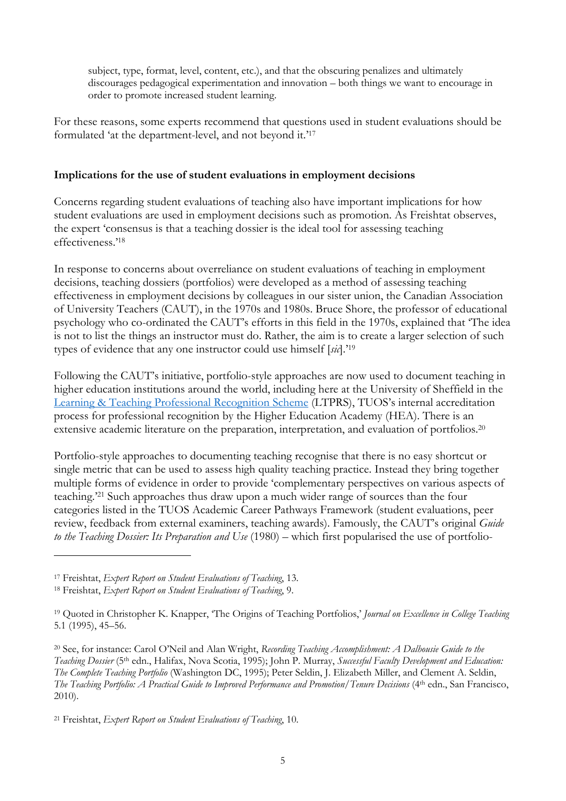subject, type, format, level, content, etc.), and that the obscuring penalizes and ultimately discourages pedagogical experimentation and innovation – both things we want to encourage in order to promote increased student learning.

For these reasons, some experts recommend that questions used in student evaluations should be formulated 'at the department-level, and not beyond it.'17

### **Implications for the use of student evaluations in employment decisions**

Concerns regarding student evaluations of teaching also have important implications for how student evaluations are used in employment decisions such as promotion. As Freishtat observes, the expert 'consensus is that a teaching dossier is the ideal tool for assessing teaching effectiveness.'18

In response to concerns about overreliance on student evaluations of teaching in employment decisions, teaching dossiers (portfolios) were developed as a method of assessing teaching effectiveness in employment decisions by colleagues in our sister union, the Canadian Association of University Teachers (CAUT), in the 1970s and 1980s. Bruce Shore, the professor of educational psychology who co-ordinated the CAUT's efforts in this field in the 1970s, explained that 'The idea is not to list the things an instructor must do. Rather, the aim is to create a larger selection of such types of evidence that any one instructor could use himself [*sic*].'19

Following the CAUT's initiative, portfolio-style approaches are now used to document teaching in higher education institutions around the world, including here at the University of Sheffield in the [Learning & Teaching Professional Recognition Scheme](https://www.sheffield.ac.uk/staff/learning-teaching/elevate/cpd-recognition/recognition) (LTPRS), TUOS's internal accreditation process for professional recognition by the Higher Education Academy (HEA). There is an extensive academic literature on the preparation, interpretation, and evaluation of portfolios.<sup>20</sup>

Portfolio-style approaches to documenting teaching recognise that there is no easy shortcut or single metric that can be used to assess high quality teaching practice. Instead they bring together multiple forms of evidence in order to provide 'complementary perspectives on various aspects of teaching.'21 Such approaches thus draw upon a much wider range of sources than the four categories listed in the TUOS Academic Career Pathways Framework (student evaluations, peer review, feedback from external examiners, teaching awards). Famously, the CAUT's original *Guide to the Teaching Dossier: Its Preparation and Use* (1980) – which first popularised the use of portfolio-

 $\overline{a}$ 

<sup>17</sup> Freishtat, *Expert Report on Student Evaluations of Teaching*, 13.

<sup>18</sup> Freishtat, *Expert Report on Student Evaluations of Teaching*, 9.

<sup>19</sup> Quoted in Christopher K. Knapper, 'The Origins of Teaching Portfolios,' *Journal on Excellence in College Teaching* 5.1 (1995), 45–56.

<sup>20</sup> See, for instance: Carol O'Neil and Alan Wright, *Recording Teaching Accomplishment: A Dalhousie Guide to the Teaching Dossier* (5th edn., Halifax, Nova Scotia, 1995); John P. Murray, *Successful Faculty Development and Education: The Complete Teaching Portfolio* (Washington DC, 1995); Peter Seldin, J. Elizabeth Miller, and Clement A. Seldin, *The Teaching Portfolio: A Practical Guide to Improved Performance and Promotion/Tenure Decisions* (4<sup>th</sup> edn., San Francisco, 2010).

<sup>21</sup> Freishtat, *Expert Report on Student Evaluations of Teaching*, 10.